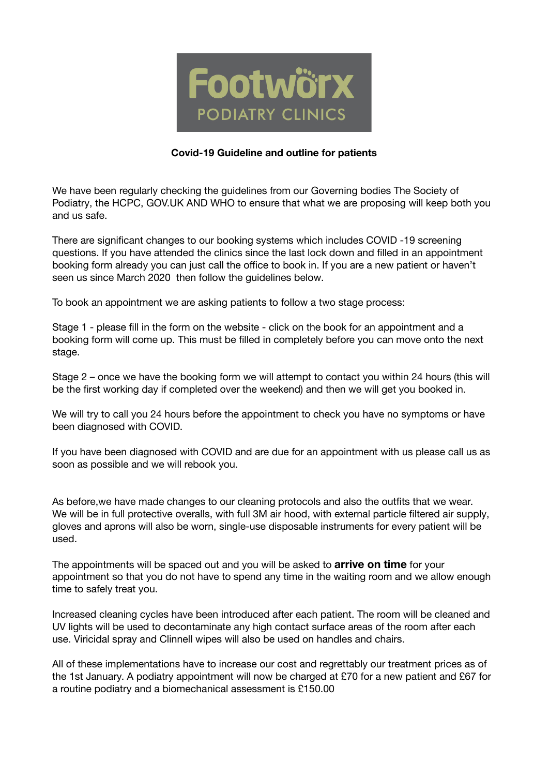

## **Covid-19 Guideline and outline for patients**

We have been regularly checking the guidelines from our Governing bodies The Society of Podiatry, the HCPC, GOV.UK AND WHO to ensure that what we are proposing will keep both you and us safe.

There are significant changes to our booking systems which includes COVID -19 screening questions. If you have attended the clinics since the last lock down and filled in an appointment booking form already you can just call the office to book in. If you are a new patient or haven't seen us since March 2020 then follow the guidelines below.

To book an appointment we are asking patients to follow a two stage process:

Stage 1 - please fill in the form on the website - click on the book for an appointment and a booking form will come up. This must be filled in completely before you can move onto the next stage.

Stage 2 – once we have the booking form we will attempt to contact you within 24 hours (this will be the first working day if completed over the weekend) and then we will get you booked in.

We will try to call you 24 hours before the appointment to check you have no symptoms or have been diagnosed with COVID.

If you have been diagnosed with COVID and are due for an appointment with us please call us as soon as possible and we will rebook you.

As before,we have made changes to our cleaning protocols and also the outfits that we wear. We will be in full protective overalls, with full 3M air hood, with external particle filtered air supply, gloves and aprons will also be worn, single-use disposable instruments for every patient will be used.

The appointments will be spaced out and you will be asked to **arrive on time** for your appointment so that you do not have to spend any time in the waiting room and we allow enough time to safely treat you.

Increased cleaning cycles have been introduced after each patient. The room will be cleaned and UV lights will be used to decontaminate any high contact surface areas of the room after each use. Viricidal spray and Clinnell wipes will also be used on handles and chairs.

All of these implementations have to increase our cost and regrettably our treatment prices as of the 1st January. A podiatry appointment will now be charged at £70 for a new patient and £67 for a routine podiatry and a biomechanical assessment is £150.00